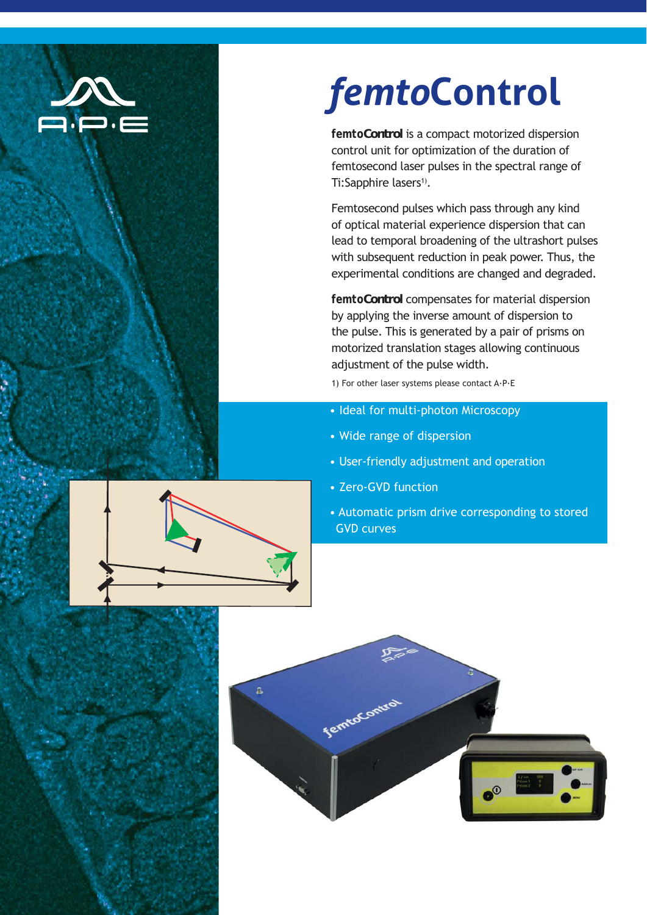

# *femto***Control**

*femto***Control** is a compact motorized dispersion control unit for optimization of the duration of femtosecond laser pulses in the spectral range of Ti:Sapphire lasers<sup>1)</sup>.

Femtosecond pulses which pass through any kind of optical material experience dispersion that can lead to temporal broadening of the ultrashort pulses with subsequent reduction in peak power. Thus, the experimental conditions are changed and degraded.

*femto***Control** compensates for material dispersion by applying the inverse amount of dispersion to the pulse. This is generated by a pair of prisms on motorized translation stages allowing continuous adjustment of the pulse width.

1) For other laser systems please contact A·P·E

- Ideal for multi-photon Microscopy
- Wide range of dispersion
- User-friendly adjustment and operation
- Zero-GVD function
- Automatic prism drive corresponding to stored GVD curves